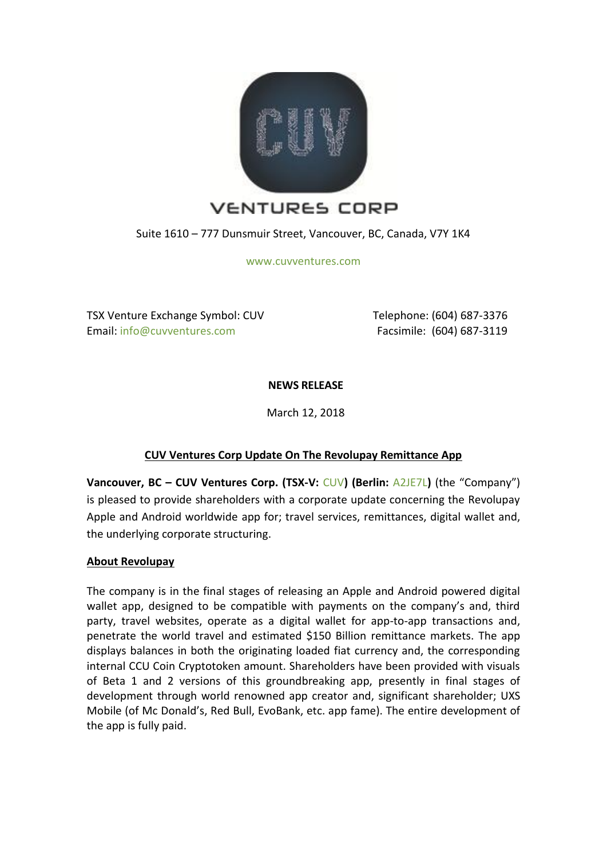

Suite 1610 – 777 Dunsmuir Street, Vancouver, BC, Canada, V7Y 1K4

[www.cuvventures.com](http://www.cuvventures.com/)

TSX Venture Exchange Symbol: CUV Email[: info@cuvventures.com](mailto:info@cuvventures.com)

 Telephone: (604) 687-3376 Facsimile: (604) 687-3119

**NEWS RELEASE**

March 12, 2018

# **CUV Ventures Corp Update On The Revolupay Remittance App**

**Vancouver, BC – CUV Ventures Corp. (TSX-V:** [CUV](http://web.tmxmoney.com/quote.php?qm_symbol=CUV)**) (Berlin:** [A2JE7L](https://www.boerse.de/aktien/CUV-VENTURES-Aktie/CA23223N1024)**)** (the "Company") is pleased to provide shareholders with a corporate update concerning the Revolupay Apple and Android worldwide app for; travel services, remittances, digital wallet and, the underlying corporate structuring.

# **About Revolupay**

The company is in the final stages of releasing an Apple and Android powered digital wallet app, designed to be compatible with payments on the company's and, third party, travel websites, operate as a digital wallet for app-to-app transactions and, penetrate the world travel and estimated \$150 Billion remittance markets. The app displays balances in both the originating loaded fiat currency and, the corresponding internal CCU Coin Cryptotoken amount. Shareholders have been provided with visuals of Beta 1 and 2 versions of this groundbreaking app, presently in final stages of development through world renowned app creator and, significant shareholder; UXS Mobile (of Mc Donald's, Red Bull, EvoBank, etc. app fame). The entire development of the app is fully paid.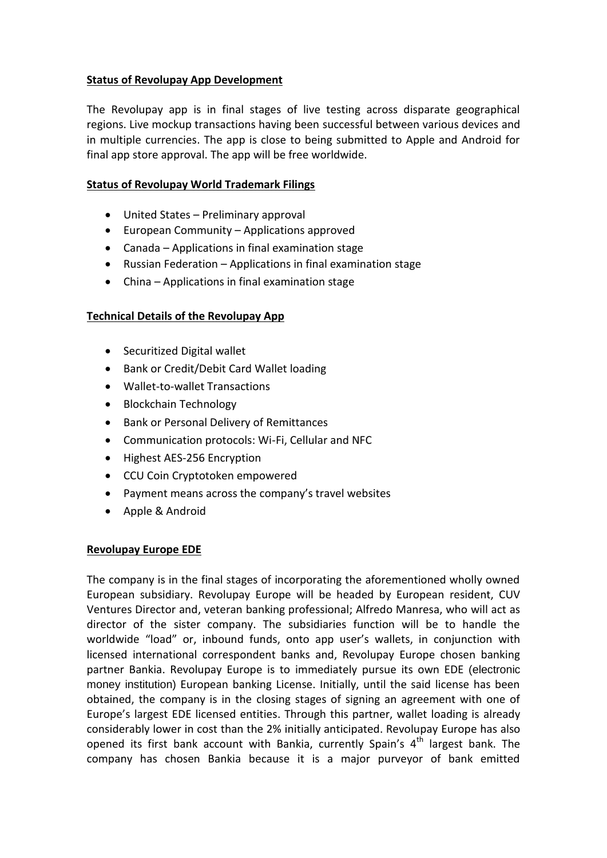# **Status of Revolupay App Development**

The Revolupay app is in final stages of live testing across disparate geographical regions. Live mockup transactions having been successful between various devices and in multiple currencies. The app is close to being submitted to Apple and Android for final app store approval. The app will be free worldwide.

### **Status of Revolupay World Trademark Filings**

- United States Preliminary approval
- European Community Applications approved
- Canada Applications in final examination stage
- Russian Federation Applications in final examination stage
- China Applications in final examination stage

### **Technical Details of the Revolupay App**

- Securitized Digital wallet
- Bank or Credit/Debit Card Wallet loading
- Wallet-to-wallet Transactions
- Blockchain Technology
- Bank or Personal Delivery of Remittances
- Communication protocols: Wi-Fi, Cellular and NFC
- Highest AES-256 Encryption
- CCU Coin Cryptotoken empowered
- Payment means across the company's travel websites
- Apple & Android

### **Revolupay Europe EDE**

The company is in the final stages of incorporating the aforementioned wholly owned European subsidiary. Revolupay Europe will be headed by European resident, CUV Ventures Director and, veteran banking professional; Alfredo Manresa, who will act as director of the sister company. The subsidiaries function will be to handle the worldwide "load" or, inbound funds, onto app user's wallets, in conjunction with licensed international correspondent banks and, Revolupay Europe chosen banking partner Bankia. Revolupay Europe is to immediately pursue its own EDE (electronic money institution) European banking License. Initially, until the said license has been obtained, the company is in the closing stages of signing an agreement with one of Europe's largest EDE licensed entities. Through this partner, wallet loading is already considerably lower in cost than the 2% initially anticipated. Revolupay Europe has also opened its first bank account with Bankia, currently Spain's  $4<sup>th</sup>$  largest bank. The company has chosen Bankia because it is a major purveyor of bank emitted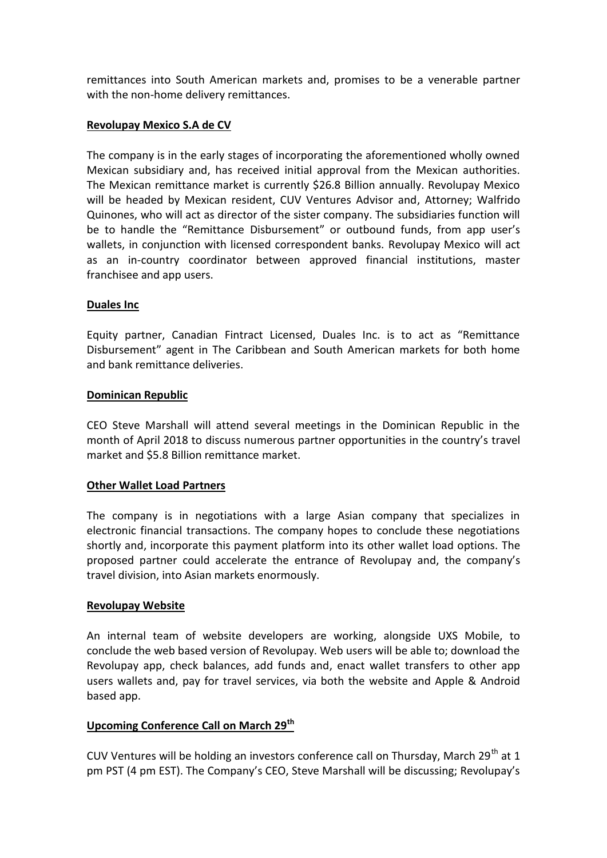remittances into South American markets and, promises to be a venerable partner with the non-home delivery remittances.

# **Revolupay Mexico S.A de CV**

The company is in the early stages of incorporating the aforementioned wholly owned Mexican subsidiary and, has received initial approval from the Mexican authorities. The Mexican remittance market is currently \$26.8 Billion annually. Revolupay Mexico will be headed by Mexican resident, CUV Ventures Advisor and, Attorney; Walfrido Quinones, who will act as director of the sister company. The subsidiaries function will be to handle the "Remittance Disbursement" or outbound funds, from app user's wallets, in conjunction with licensed correspondent banks. Revolupay Mexico will act as an in-country coordinator between approved financial institutions, master franchisee and app users.

### **Duales Inc**

Equity partner, Canadian Fintract Licensed, Duales Inc. is to act as "Remittance Disbursement" agent in The Caribbean and South American markets for both home and bank remittance deliveries.

### **Dominican Republic**

CEO Steve Marshall will attend several meetings in the Dominican Republic in the month of April 2018 to discuss numerous partner opportunities in the country's travel market and \$5.8 Billion remittance market.

### **Other Wallet Load Partners**

The company is in negotiations with a large Asian company that specializes in electronic financial transactions. The company hopes to conclude these negotiations shortly and, incorporate this payment platform into its other wallet load options. The proposed partner could accelerate the entrance of Revolupay and, the company's travel division, into Asian markets enormously.

### **Revolupay Website**

An internal team of website developers are working, alongside UXS Mobile, to conclude the web based version of Revolupay. Web users will be able to; download the Revolupay app, check balances, add funds and, enact wallet transfers to other app users wallets and, pay for travel services, via both the website and Apple & Android based app.

# **Upcoming Conference Call on March 29th**

CUV Ventures will be holding an investors conference call on Thursday, March 29<sup>th</sup> at 1 pm PST (4 pm EST). The Company's CEO, Steve Marshall will be discussing; Revolupay's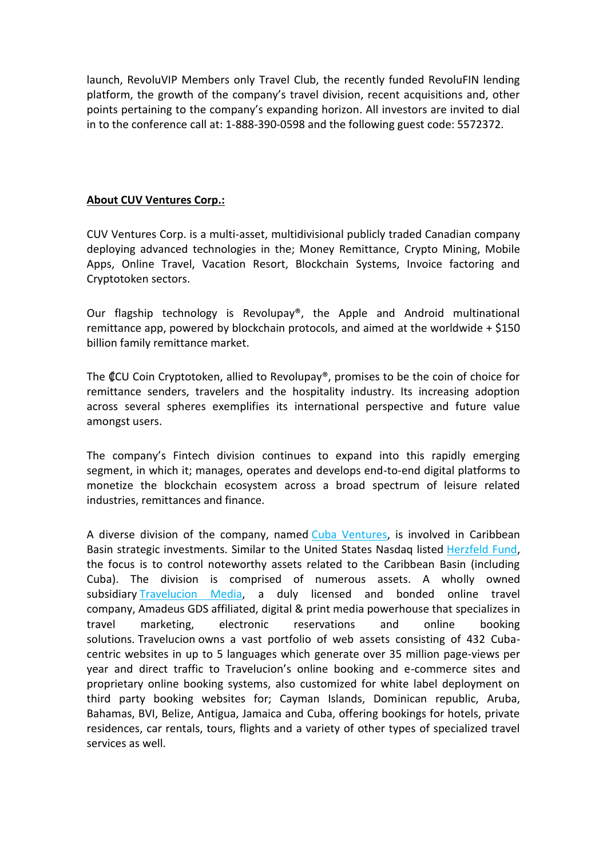launch, RevoluVIP Members only Travel Club, the recently funded RevoluFIN lending platform, the growth of the company's travel division, recent acquisitions and, other points pertaining to the company's expanding horizon. All investors are invited to dial in to the conference call at: 1-888-390-0598 and the following guest code: 5572372.

# **About CUV Ventures Corp.:**

CUV Ventures Corp. is a multi-asset, multidivisional publicly traded Canadian company deploying advanced technologies in the; Money Remittance, Crypto Mining, Mobile Apps, Online Travel, Vacation Resort, Blockchain Systems, Invoice factoring and Cryptotoken sectors.

Our flagship technology is Revolupay®, the Apple and Android multinational remittance app, powered by blockchain protocols, and aimed at the worldwide  $+$  \$150 billion family remittance market.

The ₡CU Coin Cryptotoken, allied to Revolupay®, promises to be the coin of choice for remittance senders, travelers and the hospitality industry. Its increasing adoption across several spheres exemplifies its international perspective and future value amongst users.

The company's Fintech division continues to expand into this rapidly emerging segment, in which it; manages, operates and develops end-to-end digital platforms to monetize the blockchain ecosystem across a broad spectrum of leisure related industries, remittances and finance.

A diverse division of the company, named [Cuba Ventures,](http://www.cubaventures.com/) is involved in Caribbean Basin strategic investments. Similar to the United States Nasdaq listed [Herzfeld Fund,](https://www.herzfeld.com/cuba) the focus is to control noteworthy assets related to the Caribbean Basin (including Cuba). The division is comprised of numerous assets. A wholly owned subsidiary [Travelucion Media,](http://www.travelucion.com/) a duly licensed and bonded online travel company, [Amadeus GDS](http://www.amadeus.com/) affiliated, digital & print media powerhouse that specializes in travel marketing, electronic reservations and online booking solutions. [Travelucion](http://www.travelucion.com/) owns a vast portfolio of web assets consisting of 432 Cubacentric websites in up to 5 languages which generate over 35 million page-views per year and direct traffic to Travelucion's online booking and e-commerce sites and proprietary online booking systems, also customized for white label deployment on third party booking websites for; Cayman Islands, Dominican republic, Aruba, Bahamas, BVI, Belize, Antigua, Jamaica and Cuba, offering bookings for hotels, private residences, car rentals, tours, flights and a variety of other types of specialized travel services as well.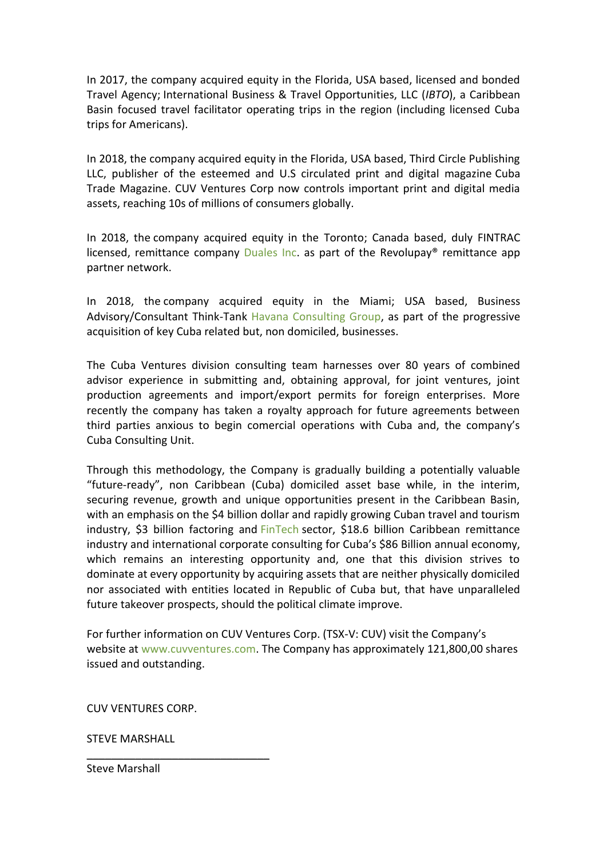In 2017, the company acquired equity in the Florida, USA based, licensed and bonded Travel Agency; International Business & Travel Opportunities, LLC (*IBTO*), a Caribbean Basin focused travel facilitator operating trips in the region (including licensed Cuba trips for Americans).

In 2018, the company acquired equity in the Florida, USA based, Third Circle Publishing LLC, publisher of the esteemed and U.S circulated print and digital magazine [Cuba](http://www.cubatrademagazine.com/)  [Trade Magazine.](http://www.cubatrademagazine.com/) CUV Ventures Corp now controls important print and digital media assets, reaching 10s of millions of consumers globally.

In 2018, the company acquired equity in the Toronto; Canada based, duly FINTRAC licensed, remittance company [Duales Inc.](http://www.duales.com/) as part of the Revolupay<sup>®</sup> remittance app partner network.

In 2018, the company acquired equity in the Miami; USA based, Business Advisory/Consultant Think-Tank Havana [Consulting Group,](http://www.thehavanaconsultinggroup.com/) as part of the progressive acquisition of key Cuba related but, non domiciled, businesses.

The Cuba Ventures division consulting team harnesses over 80 years of combined advisor experience in submitting and, obtaining approval, for joint ventures, joint production agreements and import/export permits for foreign enterprises. More recently the company has taken a royalty approach for future agreements between third parties anxious to begin comercial operations with Cuba and, the company's Cuba Consulting Unit.

Through this methodology, the Company is gradually building a potentially valuable "future-ready", non Caribbean (Cuba) domiciled asset base while, in the interim, securing revenue, growth and unique opportunities present in the Caribbean Basin, with an emphasis on the \$4 billion dollar and rapidly growing Cuban travel and tourism industry, \$3 billion factoring and [FinTech](http://www.revolufin.com/) sector, \$18.6 billion Caribbean remittance industry and international corporate consulting for Cuba's \$86 Billion annual economy, which remains an interesting opportunity and, one that this division strives to dominate at every opportunity by acquiring assets that are neither physically domiciled nor associated with entities located in Republic of Cuba but, that have unparalleled future takeover prospects, should the political climate improve.

For further information on CUV Ventures Corp. (TSX-V: CUV) visit the Company's website at [www.cuvventures.com.](http://www.cuvventures.com/) The Company has approximately 121,800,00 shares issued and outstanding.

CUV VENTURES CORP.

 $\overline{\phantom{a}}$  , where  $\overline{\phantom{a}}$  , where  $\overline{\phantom{a}}$  ,  $\overline{\phantom{a}}$  ,  $\overline{\phantom{a}}$  ,  $\overline{\phantom{a}}$  ,  $\overline{\phantom{a}}$  ,  $\overline{\phantom{a}}$  ,  $\overline{\phantom{a}}$  ,  $\overline{\phantom{a}}$  ,  $\overline{\phantom{a}}$  ,  $\overline{\phantom{a}}$  ,  $\overline{\phantom{a}}$  ,  $\overline{\phantom{a}}$  ,  $\overline{\phantom{a}}$  ,

STEVE MARSHALL

Steve Marshall